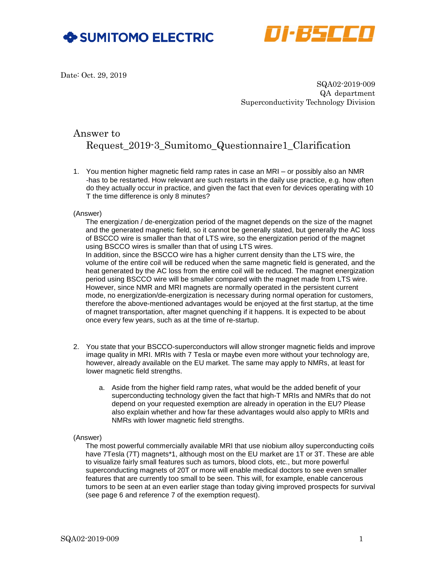



Date: Oct. 29, 2019

 SQA02-2019-009 QA department Superconductivity Technology Division

# Answer to

# Request\_2019-3\_Sumitomo\_Questionnaire1\_Clarification

1. You mention higher magnetic field ramp rates in case an MRI – or possibly also an NMR -has to be restarted. How relevant are such restarts in the daily use practice, e.g. how often do they actually occur in practice, and given the fact that even for devices operating with 10 T the time difference is only 8 minutes?

# (Answer)

The energization / de-energization period of the magnet depends on the size of the magnet and the generated magnetic field, so it cannot be generally stated, but generally the AC loss of BSCCO wire is smaller than that of LTS wire, so the energization period of the magnet using BSCCO wires is smaller than that of using LTS wires. In addition, since the BSCCO wire has a higher current density than the LTS wire, the volume of the entire coil will be reduced when the same magnetic field is generated, and the heat generated by the AC loss from the entire coil will be reduced. The magnet energization period using BSCCO wire will be smaller compared with the magnet made from LTS wire. However, since NMR and MRI magnets are normally operated in the persistent current mode, no energization/de-energization is necessary during normal operation for customers, therefore the above-mentioned advantages would be enjoyed at the first startup, at the time of magnet transportation, after magnet quenching if it happens. It is expected to be about once every few years, such as at the time of re-startup.

- 2. You state that your BSCCO-superconductors will allow stronger magnetic fields and improve image quality in MRI. MRIs with 7 Tesla or maybe even more without your technology are, however, already available on the EU market. The same may apply to NMRs, at least for lower magnetic field strengths.
	- a. Aside from the higher field ramp rates, what would be the added benefit of your superconducting technology given the fact that high-T MRIs and NMRs that do not depend on your requested exemption are already in operation in the EU? Please also explain whether and how far these advantages would also apply to MRIs and NMRs with lower magnetic field strengths.

# (Answer)

The most powerful commercially available MRI that use niobium alloy superconducting coils have 7Tesla (7T) magnets\*1, although most on the EU market are 1T or 3T. These are able to visualize fairly small features such as tumors, blood clots, etc., but more powerful superconducting magnets of 20T or more will enable medical doctors to see even smaller features that are currently too small to be seen. This will, for example, enable cancerous tumors to be seen at an even earlier stage than today giving improved prospects for survival (see page 6 and reference 7 of the exemption request).